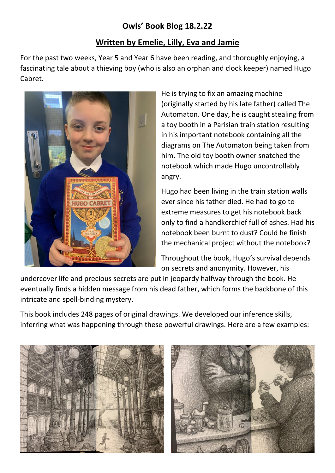## **Owls' Book Blog 18.2.22**

## **Written by Emelie, Lilly, Eva and Jamie**

For the past two weeks, Year 5 and Year 6 have been reading, and thoroughly enjoying, a fascinating tale about a thieving boy (who is also an orphan and clock keeper) named Hugo Cabret.



He is trying to fix an amazing machine (originally started by his late father) called The Automaton. One day, he is caught stealing from a toy booth in a Parisian train station resulting in his important notebook containing all the diagrams on The Automaton being taken from him. The old toy booth owner snatched the notebook which made Hugo uncontrollably angry.

Hugo had been living in the train station walls ever since his father died. He had to go to extreme measures to get his notebook back only to find a handkerchief full of ashes. Had his notebook been burnt to dust? Could he finish the mechanical project without the notebook?

Throughout the book, Hugo's survival depends on secrets and anonymity. However, his

undercover life and precious secrets are put in jeopardy halfway through the book. He eventually finds a hidden message from his dead father, which forms the backbone of this intricate and spell-binding mystery.

This book includes 248 pages of original drawings. We developed our inference skills, inferring what was happening through these powerful drawings. Here are a few examples:



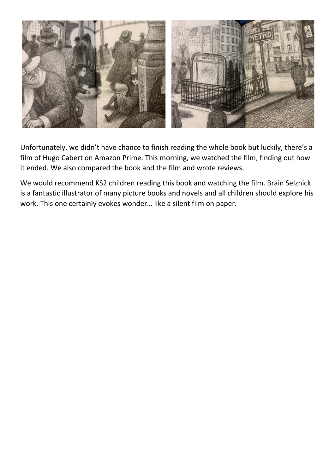

Unfortunately, we didn't have chance to finish reading the whole book but luckily, there's a film of Hugo Cabert on Amazon Prime. This morning, we watched the film, finding out how it ended. We also compared the book and the film and wrote reviews.

We would recommend KS2 children reading this book and watching the film. Brain Selznick is a fantastic illustrator of many picture books and novels and all children should explore his work. This one certainly evokes wonder… like a silent film on paper.